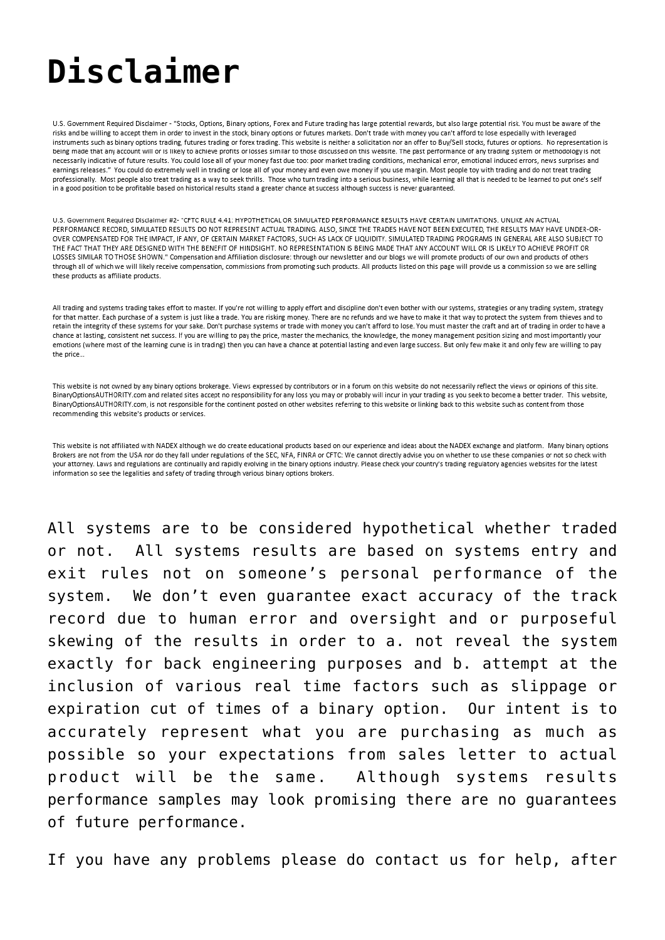## **[Disclaimer](https://binaryoptionsauthority.com/contact/disclaimer/)**

U.S. Government Required Disclaimer - "Stocks, Options, Binary options, Forex and Future trading has large potential rewards, but also large potential risk. You must be aware of the risks and be willing to accept them in order to invest in the stock, binary options or futures markets. Don't trade with money you can't afford to lose especially with leveraged instruments such as binary options trading, futures trading or forex trading. This website is neither a solicitation nor an offer to Buy/Sell stocks, futures or options. No representation is being made that any account will or is likely to achieve profits or losses similar to those discussed on this website. The past performance of any trading system or methodology is not necessarily indicative of future results. You could lose all of your money fast due too: poor market trading conditions, mechanical error, emotional induced errors, news surprises and earnings releases." You could do extremely well in trading or lose all of your money and even owe money if you use margin. Most people toy with trading and do not treat trading professionally. Most people also treat trading as a way to seek thrills. Those who turn trading into a serious business, while learning all that is needed to be learned to put one's self in a good position to be profitable based on historical results stand a greater chance at success although success is never guaranteed.

U.S. Government Required Disclaimer #2- "CFTC RULE 4.41: HYPOTHETICAL OR SIMULATED PERFORMANCE RESULTS HAVE CERTAIN LIMITATIONS. UNLIKE AN ACTUAL PERFORMANCE RECORD, SIMULATED RESULTS DO NOT REPRESENT ACTUAL TRADING. ALSO, SINCE THE TRADES HAVE NOT BEEN EXECUTED, THE RESULTS MAY HAVE UNDER-OR-OVER COMPENSATED FOR THE IMPACT, IF ANY, OF CERTAIN MARKET FACTORS, SUCH AS LACK OF LIQUIDITY. SIMULATED TRADING PROGRAMS IN GENERAL ARE ALSO SUBJECT TO THE FACT THAT THEY ARE DESIGNED WITH THE BENEFIT OF HINDSIGHT. NO REPRESENTATION IS BEING MADE THAT ANY ACCOUNT WILL OR IS LIKELY TO ACHIEVE PROFIT OR LOSSES SIMILAR TO THOSE SHOWN." Compensation and Affiliation disclosure: through our newsletter and our blogs we will promote products of our own and products of others through all of which we will likely receive compensation, commissions from promoting such products. All products listed on this page will provide us a commission so we are selling these products as affiliate products.

All trading and systems trading takes effort to master. If you're not willing to apply effort and discipline don't even bother with our systems, strategies or any trading system, strategy for that matter. Each purchase of a system is just like a trade. You are risking money. There are no refunds and we have to make it that way to protect the system from thieves and to retain the integrity of these systems for your sake. Don't purchase systems or trade with money you can't afford to lose. You must master the craft and art of trading in order to have a chance at lasting, consistent net success. If you are willing to pay the price, master the mechanics, the knowledge, the money management position sizing and most importantly your emotions (where most of the learning curve is in trading) then you can have a chance at potential lasting and even large success. But only few make it and only few are willing to pay the price...

This website is not owned by any binary options brokerage. Views expressed by contributors or in a forum on this website do not necessarily reflect the views or opinions of this site. BinaryOptionsAUTHORITY.com and related sites accept no responsibility for any loss you may or probably will incur in your trading as you seek to become a better trader. This website, BinaryOptionsAUTHORITY.com, is not responsible for the continent posted on other websites referring to this website or linking back to this website such as content from those recommending this website's products or services.

This website is not affiliated with NADEX although we do create educational products based on our experience and ideas about the NADEX exchange and platform. Many binary options Brokers are not from the USA nor do they fall under regulations of the SEC, NFA, FINRA or CFTC: We cannot directly advise you on whether to use these companies or not so check with your attorney. Laws and regulations are continually and rapidly evolving in the binary options industry. Please check your country's trading regulatory agencies websites for the latest information so see the legalities and safety of trading through various binary options brokers.

All systems are to be considered hypothetical whether traded or not. All systems results are based on systems entry and exit rules not on someone's personal performance of the system. We don't even guarantee exact accuracy of the track record due to human error and oversight and or purposeful skewing of the results in order to a. not reveal the system exactly for back engineering purposes and b. attempt at the inclusion of various real time factors such as slippage or expiration cut of times of a binary option. Our intent is to accurately represent what you are purchasing as much as possible so your expectations from sales letter to actual product will be the same. Although systems results performance samples may look promising there are no guarantees of future performance.

If you have any problems please do contact us for help, after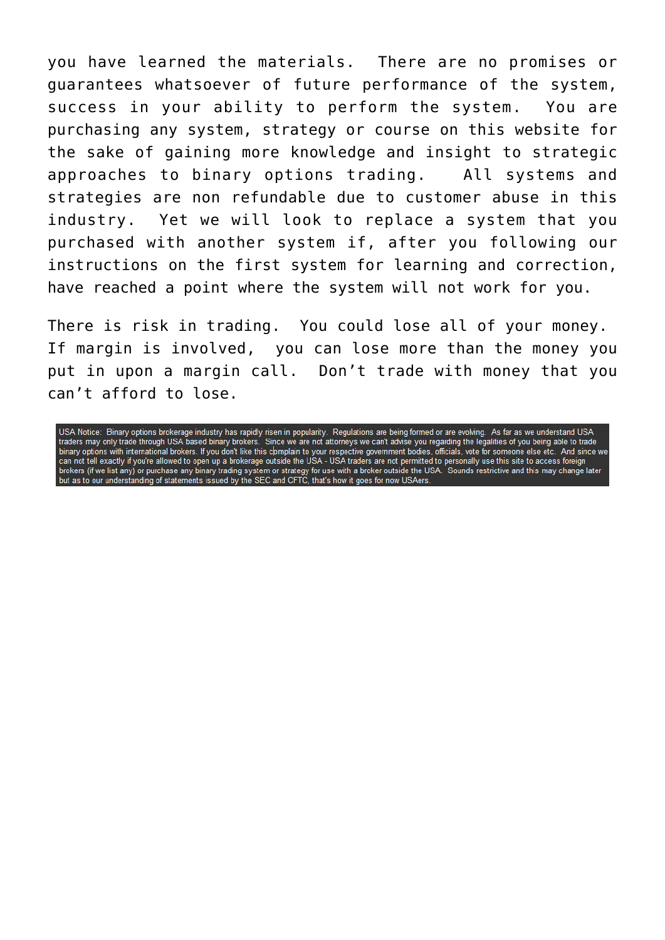you have learned the materials. There are no promises or guarantees whatsoever of future performance of the system, success in your ability to perform the system. You are purchasing any system, strategy or course on this website for the sake of gaining more knowledge and insight to strategic approaches to binary options trading. All systems and strategies are non refundable due to customer abuse in this industry. Yet we will look to replace a system that you purchased with another system if, after you following our instructions on the first system for learning and correction, have reached a point where the system will not work for you.

There is risk in trading. You could lose all of your money. If margin is involved, you can lose more than the money you put in upon a margin call. Don't trade with money that you can't afford to lose.

USA Notice: Binary options brokerage industry has rapidly risen in popularity. Regulations are being formed or are evolving. As far as we understand USA<br>traders may only trade through USA based binary brokers. Since we are hard of the material of the material brokers. If you don't like this complain to your respective government bodies, officials, vote for someone else etc. And since we<br>can not tell exactly if you're allowed to open up a bro brokers (if we list any) or purchase any binary trading system or strategy for use with a broker outside the USA. Sounds restrictive and this may change later<br>but as to our understanding of statements issued by the SEC and